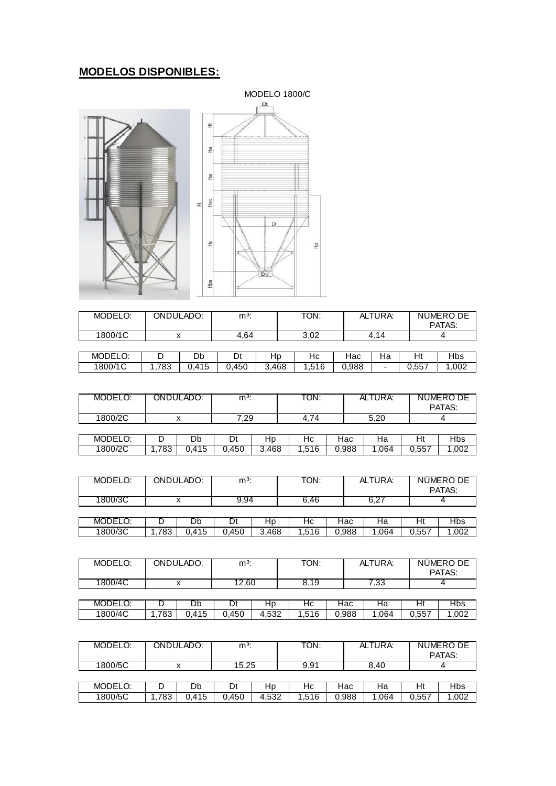## **MODELOS DISPONIBLES:**



| MODELO: | ONDULADO: |       | $m^3$ : |       | TON:  |       | ALTURA: |       | NUMERO DE<br>PATAS: |
|---------|-----------|-------|---------|-------|-------|-------|---------|-------|---------------------|
| 1800/1C |           |       | 4.64    |       | 3.02  |       | 4.14    |       |                     |
|         |           |       |         |       |       |       |         |       |                     |
| MODELO: |           | Db    | Dt      | Hp    | Нc    | Hac   | Ha      | Ht    | Hbs                 |
| 1800/1C | .783      | 0.415 | 0.450   | 3.468 | 1.516 | 0.988 | -       | 0.557 | 1.002               |

| MODELO: |     | ONDULADO: | $m3$ : |       | TON:  |       | ALTURA: |       | NUMERO DE<br>PATAS: |
|---------|-----|-----------|--------|-------|-------|-------|---------|-------|---------------------|
| 1800/2C |     |           | 7.29   |       | 4.74  |       | 5,20    |       |                     |
|         |     |           |        |       |       |       |         |       |                     |
| MODELO: |     | Db        |        | Hp    | Hc.   | Hac   | Ha      | Ht    | Hbs                 |
| 1800/2C | 783 | 0.415     | 0.450  | 3.468 | 1,516 | 0,988 | .064    | 0,557 | .002                |

| MODELO: |      | ONDULADO: | $m3$ : |       | TON:  |       | ALTURA: |       | NUMERO DE<br>PATAS: |
|---------|------|-----------|--------|-------|-------|-------|---------|-------|---------------------|
| 1800/3C |      |           | 9.94   |       | 6.46  |       | 6.27    |       |                     |
|         |      |           |        |       |       |       |         |       |                     |
| MODELO: |      | Db        | υt     | Hp    | Hс    | Hac   | на      | Ηt    | <b>Hbs</b>          |
| 1800/3C | .783 | 0.415     | 0.450  | 3.468 | 1.516 | 0.988 | .064    | 0.557 | .002،               |

| MODELO: |      | ONDULADO: | $m^3$ : |       | TON:  |       | ALTURA: |       | NUMERO DE<br>PATAS: |
|---------|------|-----------|---------|-------|-------|-------|---------|-------|---------------------|
| 1800/4C |      |           | 12.60   |       | 8.19  |       | 7,33    |       |                     |
|         |      |           |         |       |       |       |         |       |                     |
| MODELO: |      | Db        |         | Hp    | Hc    | Hac   | на      | Ht    | <b>Hbs</b>          |
| 1800/4C | .783 | 0.415     | 0.450   | 4,532 | 1.516 | 0.988 | .064    | 0.557 | 1.002               |

| MODELO: |      | ONDULADO: | $m3$ : |       | TON:  |       | ALTURA: |       | NUMERO DE<br>PATAS: |
|---------|------|-----------|--------|-------|-------|-------|---------|-------|---------------------|
| 1800/5C |      | v         | 15.25  |       | 9.91  |       | 8.40    |       |                     |
|         |      |           |        |       |       |       |         |       |                     |
| MODELO: |      | Db        | Dt     | Hp    | Hc    | Hac   | На      | Ht    | Hbs                 |
| 1800/5C | .783 | 0.415     | 0.450  | 4,532 | 1.516 | 0,988 | .064    | 0,557 | 1,002               |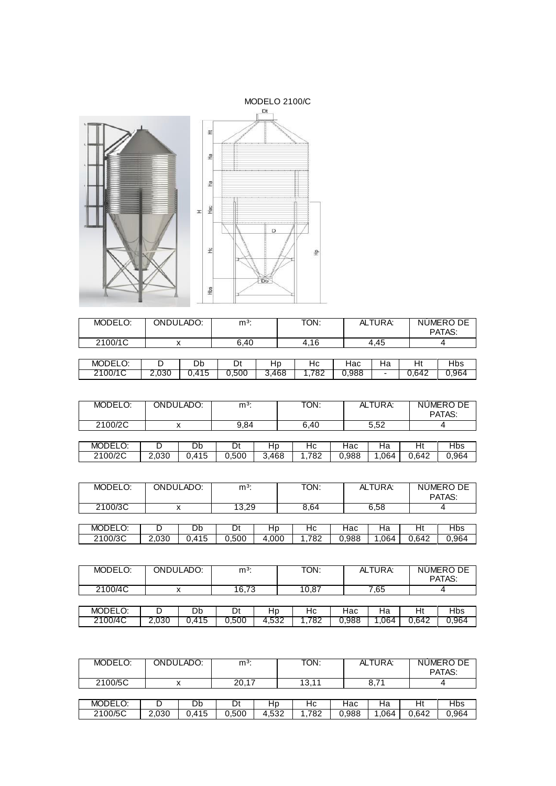

| MODELO: |       | ONDULADO: | $m^3$ : |       | TON: |       | ALTURA:                  |       | NUMERO DE<br>PATAS: |
|---------|-------|-----------|---------|-------|------|-------|--------------------------|-------|---------------------|
| 2100/1C |       |           | 6.40    |       | 4,16 |       | 4.45                     |       |                     |
|         |       |           |         |       |      |       |                          |       |                     |
| MODELO: |       | Db        | Dt      | Hp    | Нc   | Hac   | Ha                       | Ht    | <b>Hbs</b>          |
| 2100/1C | 2.030 | 0.415     | 0,500   | 3,468 | .782 | 0.988 | $\overline{\phantom{0}}$ | 0.642 | 0,964               |

| MODELO: |       | ONDULADO: | $m3$ : |       | TON: |       | ALTURA: |       | NUMERO DE<br>PATAS: |
|---------|-------|-----------|--------|-------|------|-------|---------|-------|---------------------|
| 2100/2C |       |           | 9,84   |       | 6.40 |       | 5,52    |       |                     |
|         |       |           |        |       |      |       |         |       |                     |
| MODELO: |       | Db        | Dt     | Hp    | Нc   | Hac   | На      | Ht    | <b>Hbs</b>          |
| 2100/2C | 2,030 | 0,415     | 0.500  | 3,468 | .782 | 0,988 | .064    | 0,642 | 0,964               |

| MODELO: |       | ONDULADO: | $m^3$ : |       | TON: |       | ALTURA: |       | NUMERO DE<br>PATAS: |
|---------|-------|-----------|---------|-------|------|-------|---------|-------|---------------------|
| 2100/3C |       |           | 13.29   |       | 8.64 |       | 6,58    |       |                     |
|         |       |           |         |       |      |       |         |       |                     |
| MODELO: |       | Db        |         | HD    | Hс   | Hac   | на      | Ηt    | Hbs                 |
| 2100/3C | 2,030 | 0.415     | 0.500   | 4.000 | .782 | 0,988 | 1,064   | 0.642 | 0,964               |

| MODELO: |       | ONDULADO: | $m3$ : |       | TON:  |       | ALTURA: |       | NUMERO DE<br>PATAS: |
|---------|-------|-----------|--------|-------|-------|-------|---------|-------|---------------------|
| 2100/4C |       |           | 16.73  |       | 10.87 |       | 7.65    |       |                     |
|         |       |           |        |       |       |       |         |       |                     |
| MODELO: |       | Db        |        | Hp    | Нc    | Hac   | Ha      | Ht    | Hbs                 |
| 2100/4C | 2.030 | 0.415     | 0.500  | 4.532 | .782  | 0.988 | .064    | 0.642 | 0.964               |

| MODELO: |       | ONDULADO: | $m3$ : |       | TON:  |       | ALTURA: |       | NUMERO DE<br>PATAS: |
|---------|-------|-----------|--------|-------|-------|-------|---------|-------|---------------------|
| 2100/5C |       |           | 20,17  |       | 13.11 |       | 8,71    |       |                     |
|         |       |           |        |       |       |       |         |       |                     |
| MODELO: |       | Db        | Dt     | Hp    | Нc    | Hac   | Ha      | Ht    | Hbs                 |
| 2100/5C | 2,030 | 0.415     | 0.500  | 4.532 | .782  | 0,988 | 1,064   | 0.642 | 0,964               |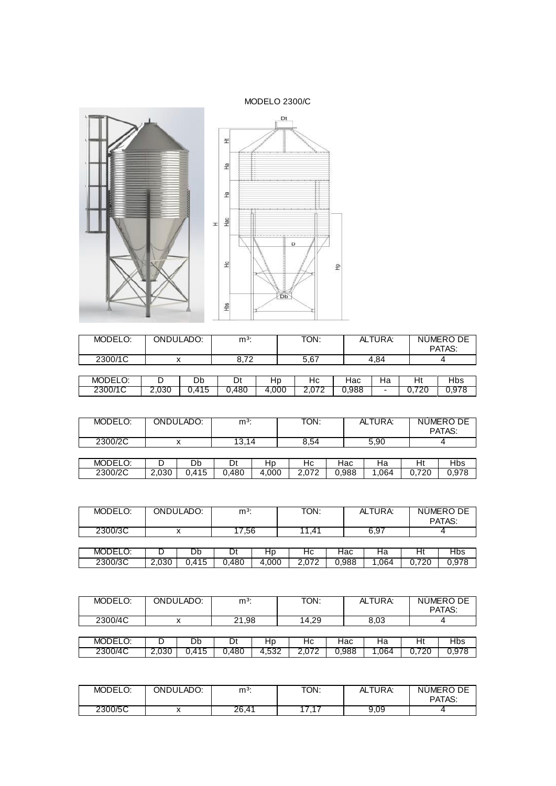MODELO 2300/C



| MODELO: | ONDULADO: |       | m <sup>3</sup> |       | TON:  |                    | ALTURA: |       | NUMERO DE<br>PATAS: |
|---------|-----------|-------|----------------|-------|-------|--------------------|---------|-------|---------------------|
| 2300/1C |           |       | 8.72           |       | 5,67  |                    | 4.84    |       |                     |
|         |           |       |                |       |       |                    |         |       |                     |
| MODELO: |           | Db    | Dt             | Нp    | Нc    | Hac                | На      | Ht    | Hbs                 |
| 2300/1C | 2.030     | 0.415 | 0.480          | 4,000 | 2.072 | $0.\overline{9}88$ |         | 0.720 | 0.978               |

| MODELO: |       | ONDULADO: | $m^3$ : |       | TON:  |       | ALTURA: | NUMERO DE<br>PATAS: |       |
|---------|-------|-----------|---------|-------|-------|-------|---------|---------------------|-------|
| 2300/2C |       |           | 13.14   |       | 8,54  |       | 5,90    |                     |       |
|         |       |           |         |       |       |       |         |                     |       |
| MODELO: |       | Db        | Dt      | Hp    | Нc    | Hac   | На      | Ht                  | Hbs   |
| 2300/2C | 2,030 | 0.415     | 0.480   | 4.000 | 2.072 | 0.988 | .064    | 0.720               | 0,978 |

| MODELO: | ONDULADO: |       | $m^3$ : |       | TON:  |       | ALTURA: |       | NUMERO DE<br>PATAS: |
|---------|-----------|-------|---------|-------|-------|-------|---------|-------|---------------------|
| 2300/3C |           |       | 17.56   |       | 11.41 |       | 6.97    |       |                     |
|         |           |       |         |       |       |       |         |       |                     |
| MODELO: |           | Db    | Dτ      | Нp    | Hс    | Hac   | на      | Ht    | Hbs                 |
| 2300/3C | 2,030     | 0.415 | 0.480   | 4.000 | 2.072 | 0.988 | .064    | 0.720 | 0.978               |

| MODELO: |       | ONDULADO: |       | $m3$ : |       |       | TON: |       | ALTURA: |  | NUMERO DE<br>PATAS: |
|---------|-------|-----------|-------|--------|-------|-------|------|-------|---------|--|---------------------|
| 2300/4C |       |           | 21,98 |        | 14.29 |       | 8.03 |       |         |  |                     |
|         |       |           |       |        |       |       |      |       |         |  |                     |
| MODELO: |       | Db        | Dt    | Нp     | Нc    | Hac   | Ha   | Ht    | Hbs     |  |                     |
| 2300/4C | 2,030 | 0.415     | 0.480 | 4,532  | 2,072 | 0.988 | .064 | 0.720 | 0.978   |  |                     |

| MODELO:<br>$\cdot$ $\sim$ | ONDULADO: | $m3$ : | TON:                          | ALTURA: | NUMERO DE<br>PATAS: |
|---------------------------|-----------|--------|-------------------------------|---------|---------------------|
| 2300/5C                   |           | 26,41  | $\overline{\phantom{a}}$<br>. | 9,09    |                     |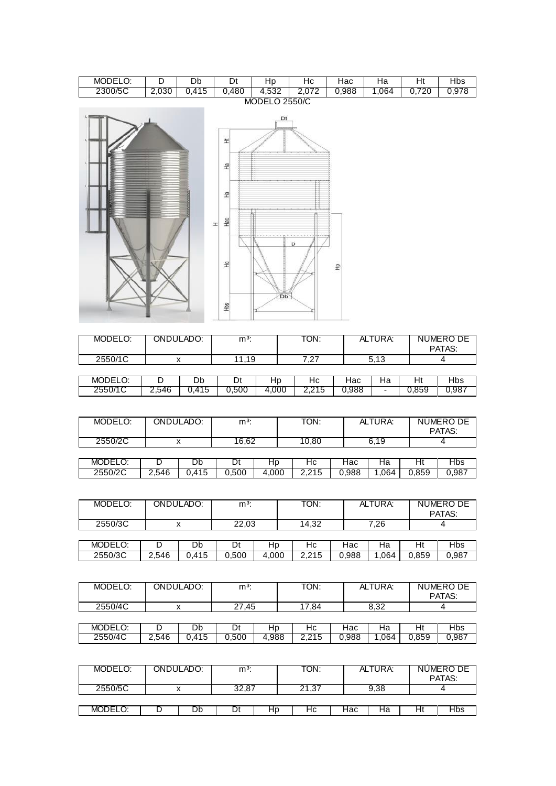| MODELO: |                 | Db                                         | Dt   | ⊣∽<br>ᄔ                      | יי<br>пc            | Hac   | –∽<br>−<br>٦d | تلد       | Hbs           |
|---------|-----------------|--------------------------------------------|------|------------------------------|---------------------|-------|---------------|-----------|---------------|
| 2300/5C | $\sim$<br>z.usu | $\overline{\phantom{a}}$<br>$\overline{ }$ | ,480 | <b>POO</b><br>4<br><br>⊦.oo∠ | $\overline{ }$<br>. | 0.988 | .064          | 700<br>∠⊾ | 070<br>บ.97 c |
|         |                 |                                            |      | $\mathbf{11}$                |                     |       |               |           |               |



| MODELO: | ONDULADO: |       | $m3$ : |       | TON:  |       | ALTURA: |       | NUMERO DE<br>PATAS: |
|---------|-----------|-------|--------|-------|-------|-------|---------|-------|---------------------|
| 2550/1C |           |       | 11.19  |       | 7.27  |       | 5.13    |       |                     |
|         |           |       |        |       |       |       |         |       |                     |
| MODELO: |           | Db    | Dt     | HD    | Нc    | Hac   | Ha      | Ht    | <b>Hbs</b>          |
| 2550/1C | 2,546     | 0.415 | 0,500  | 4,000 | 2.215 | 0.988 | ۰       | 0.859 | 0,987               |

| MODELO: |       | ONDULADO: | $m3$ : |       | TON:  |       | ALTURA: |       | NUMERO DE<br>PATAS: |
|---------|-------|-----------|--------|-------|-------|-------|---------|-------|---------------------|
| 2550/2C |       |           | 16.62  |       | 10.80 |       | 6.19    |       |                     |
|         |       |           |        |       |       |       |         |       |                     |
| MODELO: |       | Db        | Dί     | Hp    | Нc    | Hac   | на      | Ht    | <b>Hbs</b>          |
| 2550/2C | 2.546 | 0.415     | 0.500  | 4.000 | 2.215 | 0,988 | .064    | 0,859 | 0,987               |

| MODELO: |       | ONDULADO: |       |       | TON:  |       | ALTURA: |       | NUMERO DE<br>PATAS: |
|---------|-------|-----------|-------|-------|-------|-------|---------|-------|---------------------|
| 2550/3C |       |           | 22,03 |       | 14,32 |       | 7.26    |       |                     |
|         |       |           |       |       |       |       |         |       |                     |
| MODELO: |       | Db        | Dt    | Hp    | Hc    | Hac   | Нa      | Ht    | Hbs                 |
| 2550/3C | 2.546 | 0.415     | 0.500 | 4.000 | 2.215 | 0.988 | .064    | 0.859 | 0,987               |

| MODELO: |       | ONDULADO: |       |       | TON:  |       | ALTURA: |       | NUMERO DE<br>PATAS: |
|---------|-------|-----------|-------|-------|-------|-------|---------|-------|---------------------|
| 2550/4C |       |           | 27.45 |       | 17.84 |       | 8.32    |       |                     |
|         |       |           |       |       |       |       |         |       |                     |
| MODELO: |       | Db        | Dt    | Hp    | Нc    | Hac   | Ha      | Ht    | <b>Hbs</b>          |
| 2550/4C | 2,546 | 0.415     | 0.500 | 4.988 | 2,215 | 0.988 | .064    | 0.859 | 0,987               |

| MODELO: | ONDULADO: | $m3$ : |    | TON.      |     | ALTURA: |    | NUMERO DE<br>PATAS: |
|---------|-----------|--------|----|-----------|-----|---------|----|---------------------|
| 2550/5C |           | 32,87  |    | .37<br>21 |     | 9,38    |    |                     |
|         |           |        |    |           |     |         |    |                     |
| MODELO. | Db        |        | Hp | Нc        | Нас | На      | Hι | Hbs                 |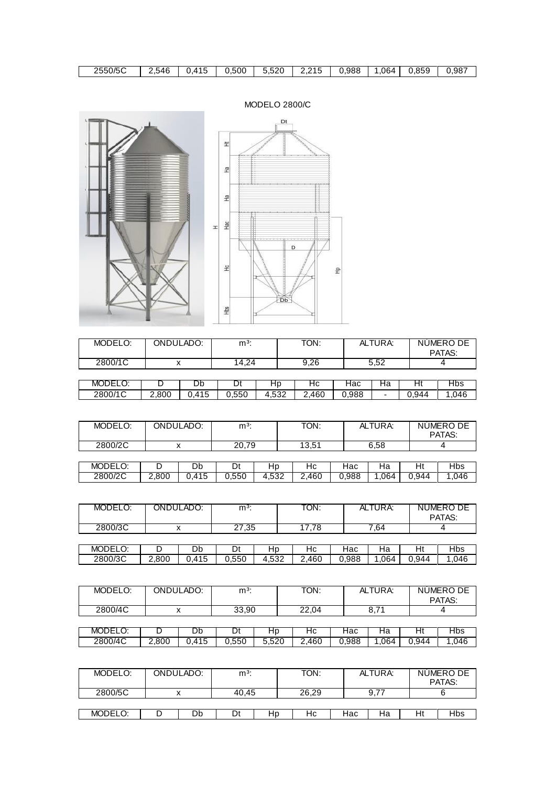| MODELO: | ONDULADO: | $m3$ : |    | TON:  |     | ALTURA: |    | NUMERO DE<br>PATAS: |
|---------|-----------|--------|----|-------|-----|---------|----|---------------------|
| 2800/5C |           | 40.45  |    | 26.29 |     | 9,77    |    |                     |
|         |           |        |    |       |     |         |    |                     |
| MODELO: | Db        | Dt     | Hp | Нc    | Hac | Ha      | Ht | <b>Hbs</b>          |

| MODELO: |       | ONDULADO: | $m^3$ : |       | TON:  |       | ALTURA: |       | NUMERO DE<br>PATAS: |
|---------|-------|-----------|---------|-------|-------|-------|---------|-------|---------------------|
| 2800/4C |       |           | 33.90   |       | 22.04 |       | 8.71    |       |                     |
|         |       |           |         |       |       |       |         |       |                     |
| MODELO: |       | Db        |         | нp    | Нc    | Hac   | на      | Ht    | Hbs                 |
| 2800/4C | 2.800 | 0.415     | 0.550   | 5.520 | 2.460 | 0.988 | .064    | 0.944 | .046                |

| MODELO: |       | ONDULADO: | $m3$ : |       | TON:  |       | ALTURA: |       | NUMERO DE<br>PATAS: |
|---------|-------|-----------|--------|-------|-------|-------|---------|-------|---------------------|
| 2800/3C |       |           | 27,35  |       | 17.78 |       | 7,64    |       |                     |
|         |       |           |        |       |       |       |         |       |                     |
| MODELO: |       | Db        | Dt     | Hp    | Нc    | Hac   | На      | Ht    | <b>Hbs</b>          |
| 2800/3C | 2,800 | 0.415     | 0.550  | 4,532 | 2.460 | 0,988 | .064    | 0.944 | 1.046               |

|         |       |       |       |       |       |       |      |       | PATAS: |
|---------|-------|-------|-------|-------|-------|-------|------|-------|--------|
| 2800/2C |       |       | 20,79 |       | 13,51 |       | 6,58 |       |        |
|         |       |       |       |       |       |       |      |       |        |
| MODELO: |       | Db    |       | Hp    | Нc    | Hac   | На   | Ht    | Hbs    |
| 2800/2C | 2,800 | 0.415 | 0.550 | 4,532 | 2,460 | 0.988 | .064 | 0.944 | .046   |

MODELO: | ONDULADO: | m<sup>3</sup>: | TON: | ALTURA: | NUMERO DE

| MODELO: |       | Db         | υt    | ⊔∽<br>пv    | Нc    | ⊣ас   | ٦a                       | пι    | Hbs. |
|---------|-------|------------|-------|-------------|-------|-------|--------------------------|-------|------|
| 2800/1C | ∠,800 | 11F<br>ن ≀ | 0,550 | roc<br>ےں., | 2,460 | 0.988 | $\overline{\phantom{0}}$ | 0,944 | .046 |

| MODELO:      | -         | Db       | 11<br>◡ | . .<br>חד  | Нc            | lac   | на | −<br>.                  | Ibs                   |
|--------------|-----------|----------|---------|------------|---------------|-------|----|-------------------------|-----------------------|
| 2000/10<br>, | ®∩∩<br>C. | 115<br>⌒ | 550     | $\sqrt{2}$ | 160<br>$\sim$ | N QRR |    | $Q_{\Delta\Delta}$<br>⌒ | $\bigcap$ A $\bigcap$ |

| 2800/1C |    | $\sqrt{ }$<br>14,4 |        | ・ノム<br>ີ<br>ັບ. ເບ |     | J.JZ                           |   |     |
|---------|----|--------------------|--------|--------------------|-----|--------------------------------|---|-----|
|         |    |                    |        |                    |     |                                |   |     |
| MODELO: | Db | <u>.</u>           | _<br>ᅚ | יי                 | lac | $\overline{\phantom{a}}$<br>ıa | . | טור |
|         |    |                    |        |                    |     |                                |   |     |

| MODELO: | ONDULADO: | $m3$ : | TON: | ALTURA: | NUMERO DE<br>PATAS: |
|---------|-----------|--------|------|---------|---------------------|
| 2800/1C | ́         | 14.24  | 9,26 | 5,52    |                     |



 $\lceil$ 



MODELO 2800/C

Dt

| 2550/5C | ∠.54Բ | $. \mathcal{A}$ | 0.500 | よつの<br>ı. | - - -<br>ג ר<br>. . | 0.988 | .064<br>- | 0.859 | 0.987 |
|---------|-------|-----------------|-------|-----------|---------------------|-------|-----------|-------|-------|
|         |       | $\cdot$         |       | J.JZU     | 2.2 I J             |       |           |       |       |